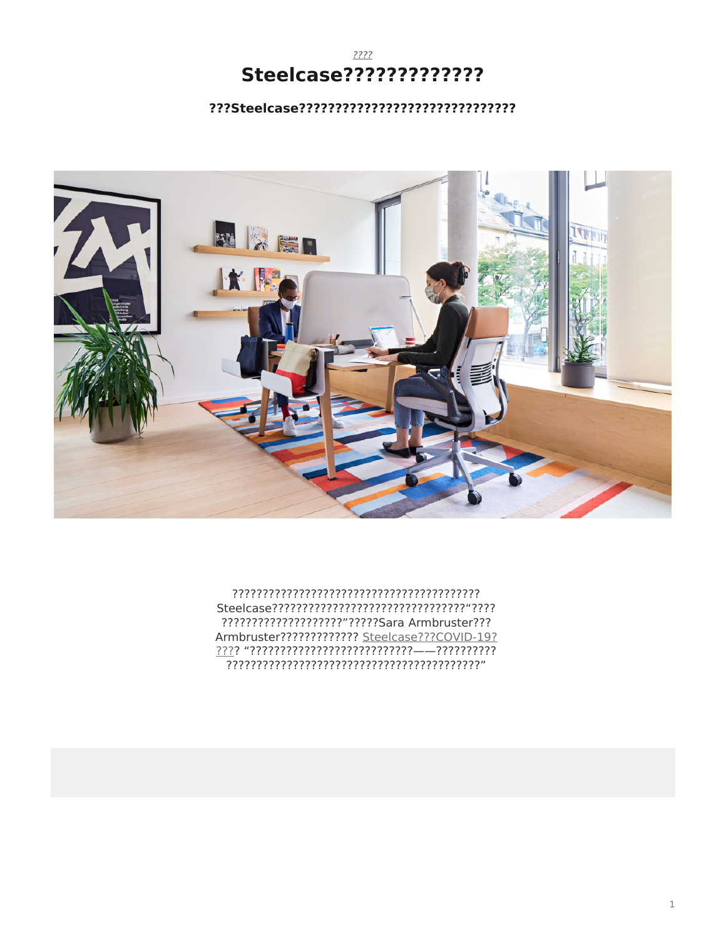#### $????$ Steelcase?????????????

#### 



???????????????????????????Sara Armbruster??? Armbruster????????????? Steelcase???COVID-19?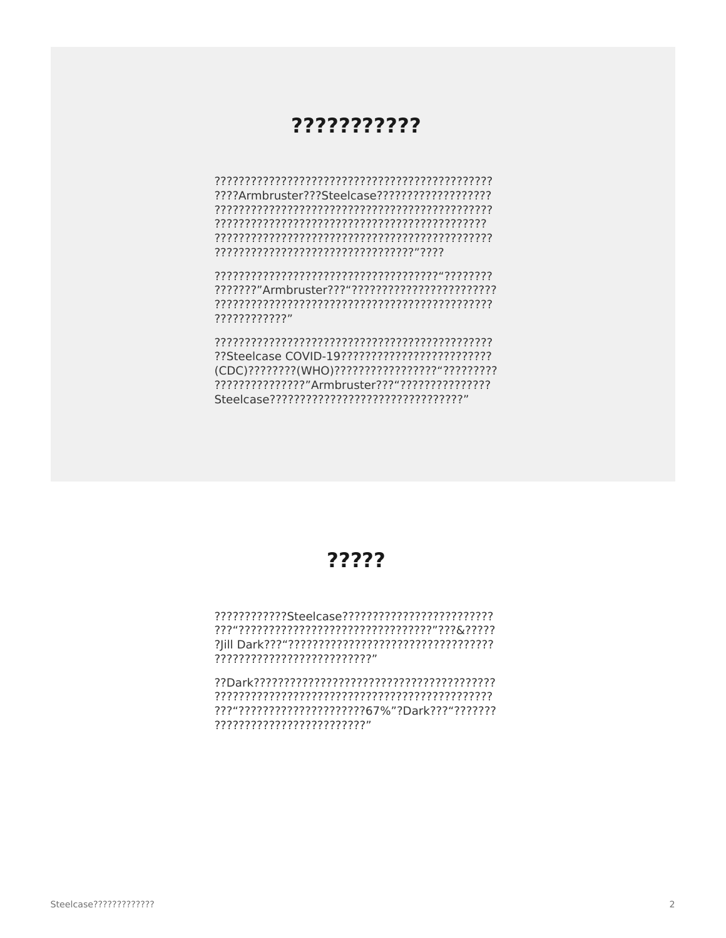#### ???????????

????Armbruster???Steelcase???????????????????? 

????????????

(CDC)?????????(WHO)?????????????????????????? Steelcase ?????????????????????????????????

### ?????

???????????????????????????

???"??????????????????????67%"?Dark???"??????? ??????????????????????????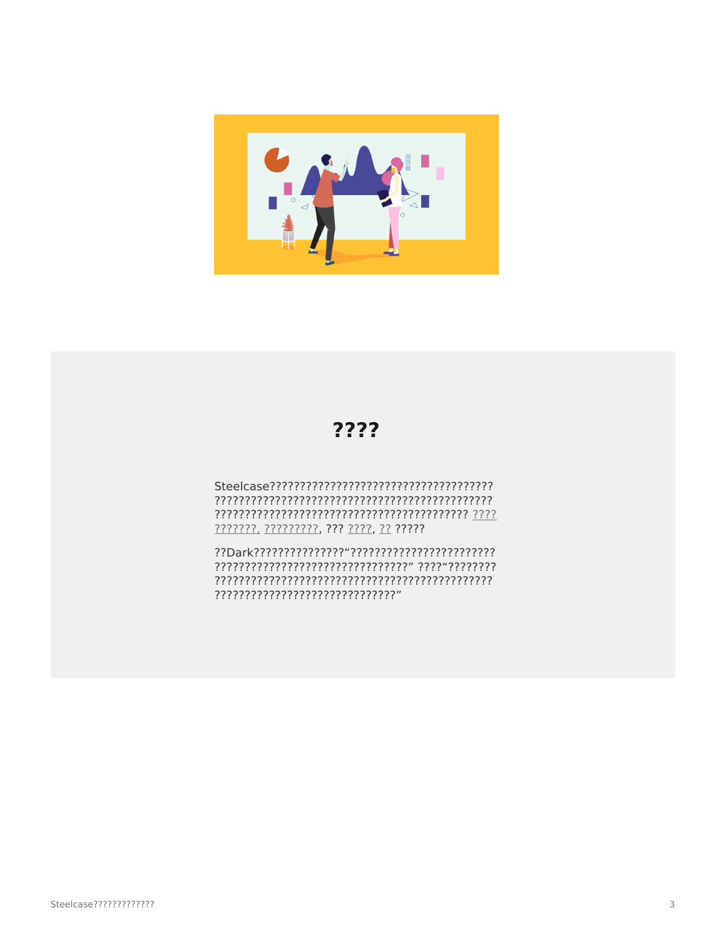

## ????

777777, 777777777, 777 7777, 77 77777

???????????????????????????????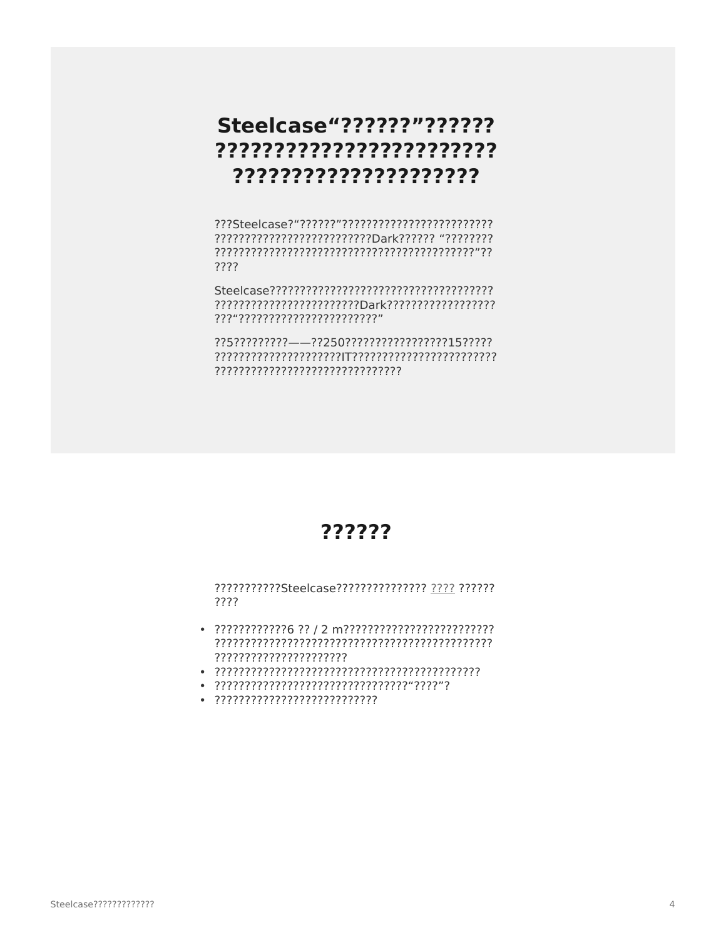## Steelcase"??????"?????? ???????????????????????? ?????????????????????

????

???"????????????????????????

??5?????????---??250???????????????15????? 

### ??????

???????????Steelcase??????????????? ???? ??????? ????

- ??????????????????????
- 
- 
-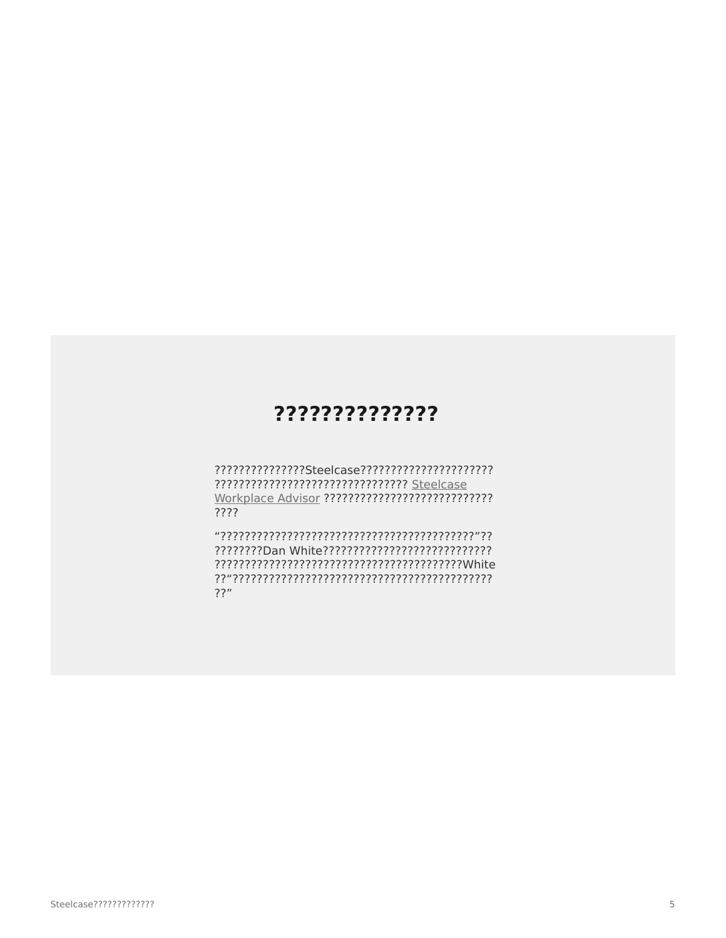### ??????????????

????????????????????????????????? Steelcase Workplace Advisor ??????????????????????????? ????

 $??"$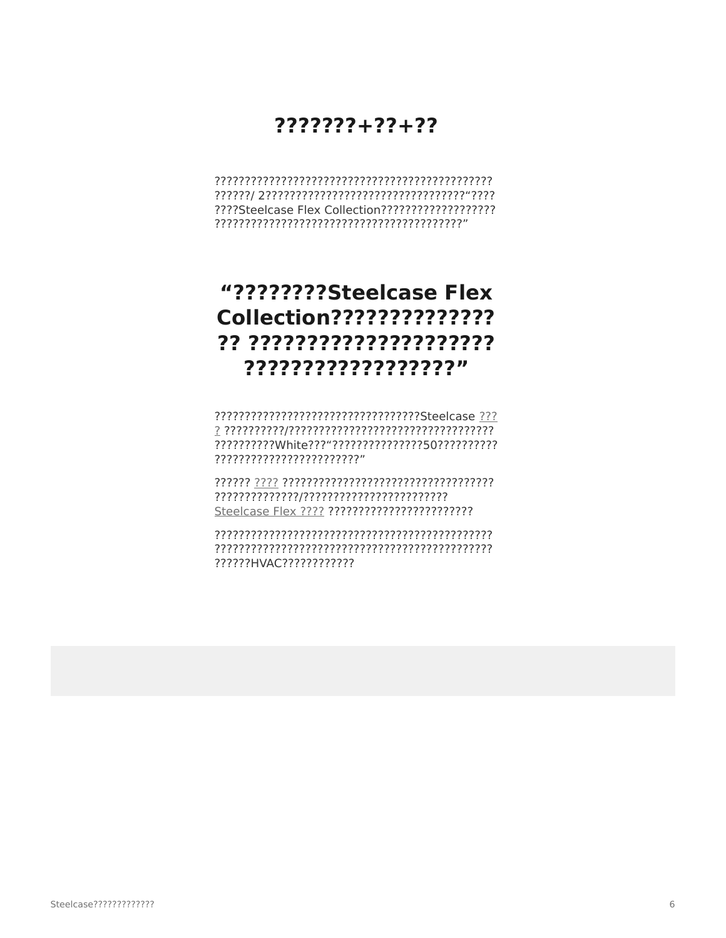## $7222222 + 22 + 22$

# "????????Steelcase Flex Collection?????????????? ?? ????????????????????? ??????????????????

??????????????????????????????????Steelcase ??? ?????????????????????????

??????HVAC????????????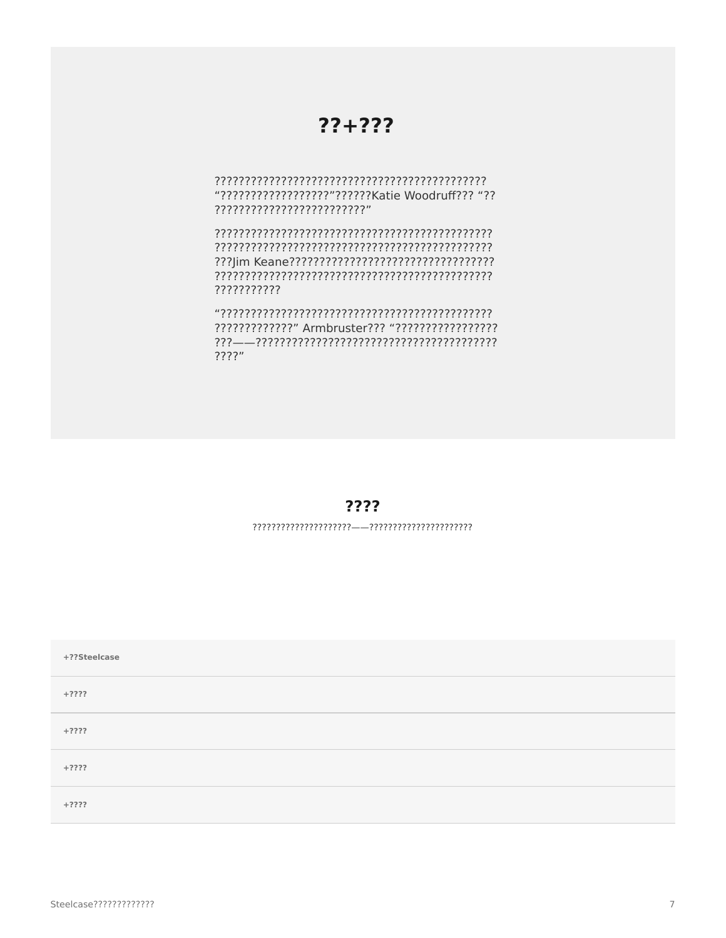### $?? + ???$

"??????????????????????????Katie Woodruff??? "?? ??????????????????????????

???????????

 $????'$ 

#### ????

#### $\label{eq:constrained} \textcolor{red}{?} \textcolor{red}{?} \textcolor{red}{?} \textcolor{red}{?} \textcolor{red}{?} \textcolor{red}{?} \textcolor{red}{?} \textcolor{red}{?} \textcolor{red}{?} \textcolor{red}{?} \textcolor{red}{?} \textcolor{red}{?} \textcolor{red}{?} \textcolor{red}{?} \textcolor{red}{?} \textcolor{red}{?} \textcolor{red}{?} \textcolor{red}{?} \textcolor{red}{?} \textcolor{red}{?} \textcolor{red}{?} \textcolor{red}{?} \textcolor{red}{?} \textcolor{red}{?} \textcolor{red}{?} \textcolor{red}{?} \textcolor{$

| +??Steelcase |  |
|--------------|--|
| $+2222$      |  |
| $+2222$      |  |
| $+2222$      |  |
| $+2222$      |  |